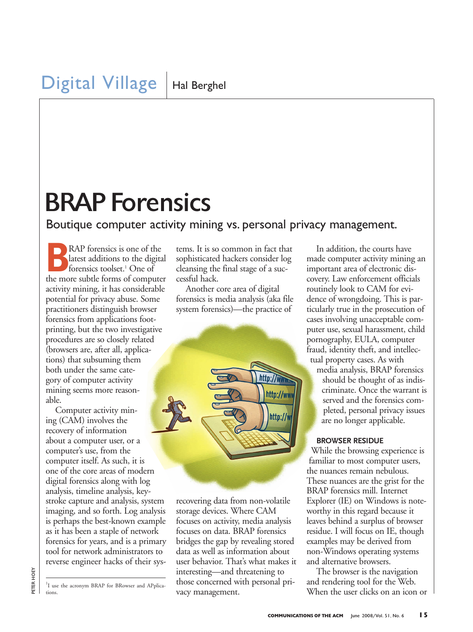# BRAP Forensics

### Boutique computer activity mining vs. personal privacy management.

**BRAP** forensics is one of the latest additions to the digital forensics toolset.1 One of the more subtle forms of computer activity mining, it has considerable potential for privacy abuse. Some practitioners distinguish browser forensics from applications footprinting, but the two investigative procedures are so closely related (browsers are, after all, applications) that subsuming them both under the same category of computer activity mining seems more reasonable.

Computer activity mining (CAM) involves the recovery of information about a computer user, or a computer's use, from the computer itself. As such, it is one of the core areas of modern digital forensics along with log analysis, timeline analysis, keystroke capture and analysis, system imaging, and so forth. Log analysis is perhaps the best-known example as it has been a staple of network forensics for years, and is a primary tool for network administrators to reverse engineer hacks of their sys-

<sup>1</sup>I use the acronym BRAP for BRowser and APplications.

tems. It is so common in fact that sophisticated hackers consider log cleansing the final stage of a successful hack.

Another core area of digital forensics is media analysis (aka file system forensics)—the practice of



recovering data from non-volatile storage devices. Where CAM focuses on activity, media analysis focuses on data. BRAP forensics bridges the gap by revealing stored data as well as information about user behavior. That's what makes it interesting—and threatening to those concerned with personal privacy management.

In addition, the courts have made computer activity mining an important area of electronic discovery. Law enforcement officials routinely look to CAM for evidence of wrongdoing. This is particularly true in the prosecution of cases involving unacceptable computer use, sexual harassment, child pornography, EULA, computer fraud, identity theft, and intellectual property cases. As with

media analysis, BRAP forensics should be thought of as indiscriminate. Once the warrant is served and the forensics completed, personal privacy issues are no longer applicable.

#### **BROWSER RESIDUE**

While the browsing experience is familiar to most computer users, the nuances remain nebulous. These nuances are the grist for the BRAP forensics mill. Internet Explorer (IE) on Windows is noteworthy in this regard because it leaves behind a surplus of browser residue. I will focus on IE, though examples may be derived from non-Windows operating systems and alternative browsers.

The browser is the navigation and rendering tool for the Web. When the user clicks on an icon or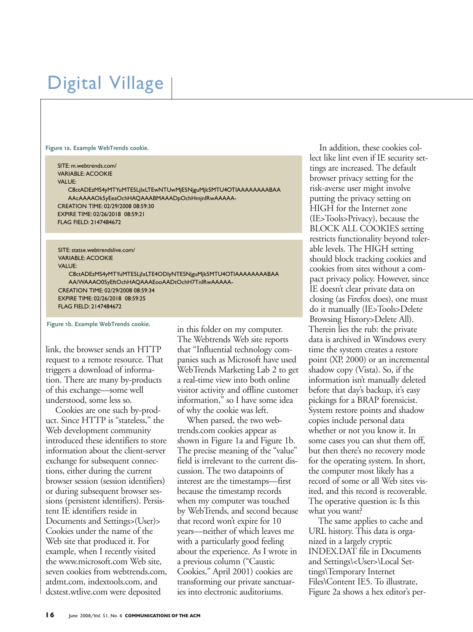# Digital Village

**Figure 1a. Example WebTrends cookie.**

SITE: m.webtrends.com/ VARIABLE: ACOOKIE VALUE: C8ctADEzMS4yMTYuMTE5LjIxLTEwNTUwMjE5NjguMjk5MTU4OTIAAAAAAAABAA AAcAAAAOk5yEeaOchHAQAAABMAAADpOchHmjnIRwAAAAA-CREATION TIME: 02/29/2008 08:59:30 EXPIRE TIME: 02/26/2018 08:59:21 FLAG FIELD: 2147484672

SITE: statse.webtrendslive.com/ VARIABLE: ACOOKIE VALUE:

C8ctADEzMS4yMTYuMTE5LjIxLTE4ODIyNTE5NjguMjk5MTU4OTIAAAAAAAABAA AA/WAAAO05yEftOchHAQAAAEooAADtOchH7TnIRwAAAAA-CREATION TIME: 02/29/2008 08:59:34 EXPIRE TIME: 02/26/2018 08:59:25 FLAG FIELD: 2147484672

**Figure 1b. Example WebTrends cookie.**

link, the browser sends an HTTP request to a remote resource. That triggers a download of information. There are many by-products of this exchange—some well understood, some less so.

Cookies are one such by-product. Since HTTP is "stateless," the Web development community introduced these identifiers to store information about the client-server exchange for subsequent connections, either during the current browser session (session identifiers) or during subsequent browser sessions (persistent identifiers). Persistent IE identifiers reside in Documents and Settings>(User)> Cookies under the name of the Web site that produced it. For example, when I recently visited the www.microsoft.com Web site, seven cookies from webtrends.com, atdmt.com, indextools.com, and dcstest.wtlive.com were deposited

in this folder on my computer. The Webtrends Web site reports that "Influential technology companies such as Microsoft have used WebTrends Marketing Lab 2 to get a real-time view into both online visitor activity and offline customer information," so I have some idea of why the cookie was left.

When parsed, the two webtrends.com cookies appear as shown in Figure 1a and Figure 1b. The precise meaning of the "value" field is irrelevant to the current discussion. The two datapoints of interest are the timestamps—first because the timestamp records when my computer was touched by WebTrends, and second because that record won't expire for 10 years—neither of which leaves me with a particularly good feeling about the experience. As I wrote in a previous column ("Caustic Cookies," April 2001) cookies are transforming our private sanctuaries into electronic auditoriums.

In addition, these cookies collect like lint even if IE security settings are increased. The default browser privacy setting for the risk-averse user might involve putting the privacy setting on HIGH for the Internet zone (IE>Tools>Privacy), because the BLOCK ALL COOKIES setting restricts functionality beyond tolerable levels. The HIGH setting should block tracking cookies and cookies from sites without a compact privacy policy. However, since IE doesn't clear private data on closing (as Firefox does), one must do it manually (IE>Tools>Delete Browsing History>Delete All). Therein lies the rub: the private data is archived in Windows every time the system creates a restore point (XP, 2000) or an incremental shadow copy (Vista). So, if the information isn't manually deleted before that day's backup, it's easy pickings for a BRAP forensicist. System restore points and shadow copies include personal data whether or not you know it. In some cases you can shut them off, but then there's no recovery mode for the operating system. In short, the computer most likely has a record of some or all Web sites visited, and this record is recoverable. The operative question is: Is this what you want?

The same applies to cache and URL history. This data is organized in a largely cryptic INDEX.DAT file in Documents and Settings\<User>\Local Settings\Temporary Internet Files\Content IE5. To illustrate, Figure 2a shows a hex editor's per-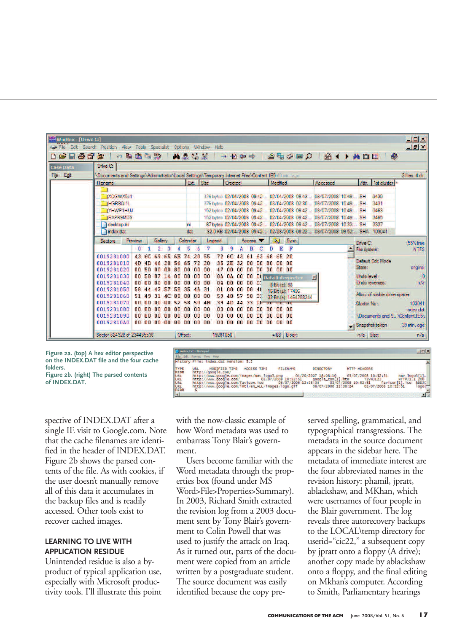

**on the INDEX.DAT file and the four cache folders.**

**Figure 2b. (right) The parsed contents of INDEX.DAT.**

spective of INDEX.DAT after a single IE visit to Google.com. Note that the cache filenames are identified in the header of INDEX.DAT. Figure 2b shows the parsed contents of the file. As with cookies, if the user doesn't manually remove all of this data it accumulates in the backup files and is readily accessed. Other tools exist to recover cached images.

#### **LEARNING TO LIVE WITH APPLICATION RESIDUE**

Unintended residue is also a byproduct of typical application use, especially with Microsoft productivity tools. I'll illustrate this point with the now-classic example of how Word metadata was used to embarrass Tony Blair's government.

YPE<br>IEDR

Users become familiar with the Word metadata through the properties box (found under MS Word>File>Properties>Summary). In 2003, Richard Smith extracted the revision log from a 2003 document sent by Tony Blair's government to Colin Powell that was used to justify the attack on Iraq. As it turned out, parts of the document were copied from an article written by a postgraduate student. The source document was easily identified because the copy preserved spelling, grammatical, and typographical transgressions. The metadata in the source document appears in the sidebar here. The metadata of immediate interest are the four abbreviated names in the revision history: phamil, jpratt, ablackshaw, and MKhan, which were usernames of four people in the Blair government. The log reveals three autorecovery backups to the LOCAL\temp directory for userid="cic22," a subsequent copy by jpratt onto a floppy (A drive); another copy made by ablackshaw onto a floppy, and the final editing on Mkhan's computer. According to Smith, Parliamentary hearings

nav\_logo3[1].<br>HTTP/1.1 200 RDD<br>1og

MODIFIED TIME ACCESS TIME FILENAME DIRECTORY HTTP HEADERS<br>/google.com/images/mav\_logo3.pmg 04/20/2007 18:08:10 03/07/2008 10:52:51 nav\_log<br>/www.google.com/images/mav\_logo3.pmg 04/20/2007 18:08:10 03/07/2008 10:52:51 nav\_lo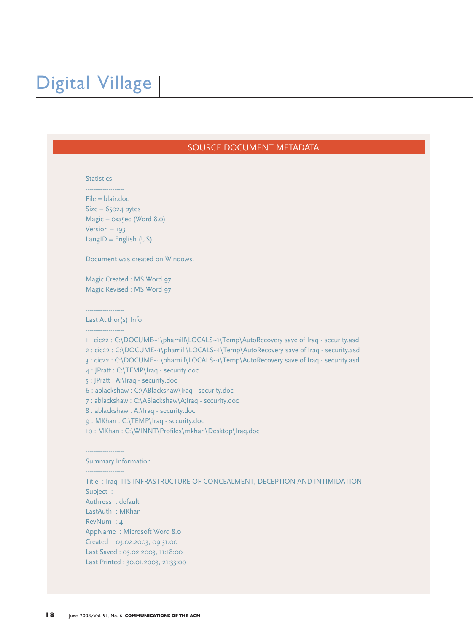### Digital Village

#### SOURCE DOCUMENT METADATA

--------------------

**Statistics** 

--------------------

File = blair.doc  $Size = 65024 bytes$ Magic = 0xa5ec (Word 8.0)  $Version = 193$ LangID = English  $(US)$ 

Document was created on Windows.

Magic Created : MS Word 97 Magic Revised : MS Word 97

### --------------------

Last Author(s) Info --------------------

1 : cic22 : C:\DOCUME~1\phamill\LOCALS~1\Temp\AutoRecovery save of Iraq - security.asd 2 : cic22 : C:\DOCUME~1\phamill\LOCALS~1\Temp\AutoRecovery save of Iraq - security.asd 3 : cic22 : C:\DOCUME~1\phamill\LOCALS~1\Temp\AutoRecovery save of Iraq - security.asd 4 : JPratt : C:\TEMP\Iraq - security.doc

5 : JPratt : A:\Iraq - security.doc

6 : ablackshaw : C:\ABlackshaw\Iraq - security.doc

7 : ablackshaw : C:\ABlackshaw\A;Iraq - security.doc

8 : ablackshaw : A:\Iraq - security.doc

9 : MKhan : C:\TEMP\Iraq - security.doc

10 : MKhan : C:\WINNT\Profiles\mkhan\Desktop\Iraq.doc

--------------------

--------------------

#### Summary Information

Title : Iraq- ITS INFRASTRUCTURE OF CONCEALMENT, DECEPTION AND INTIMIDATION Subject : Authress : default LastAuth : MKhan RevNum : 4 AppName : Microsoft Word 8.0 Created : 03.02.2003, 09:31:00 Last Saved : 03.02.2003, 11:18:00 Last Printed : 30.01.2003, 21:33:00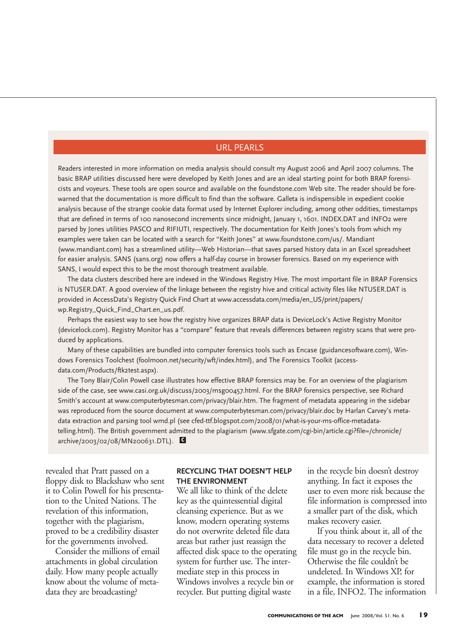#### URL PEARLS

Readers interested in more information on media analysis should consult my August 2006 and April 2007 columns. The basic BRAP utilities discussed here were developed by Keith Jones and are an ideal starting point for both BRAP forensicists and voyeurs. These tools are open source and available on the foundstone.com Web site. The reader should be forewarned that the documentation is more difficult to find than the software. Galleta is indispensible in expedient cookie analysis because of the strange cookie data format used by Internet Explorer including, among other oddities, timestamps that are defined in terms of 100 nanosecond increments since midnight, January 1, 1601. INDEX.DAT and INFO2 were parsed by Jones utilities PASCO and RIFIUTI, respectively. The documentation for Keith Jones's tools from which my examples were taken can be located with a search for "Keith Jones" at www.foundstone.com/us/. Mandiant (www.mandiant.com) has a streamlined utility—Web Historian—that saves parsed history data in an Excel spreadsheet for easier analysis. SANS (sans.org) now offers a half-day course in browser forensics. Based on my experience with SANS, I would expect this to be the most thorough treatment available.

The data clusters described here are indexed in the Windows Registry Hive. The most important file in BRAP Forensics is NTUSER.DAT. A good overview of the linkage between the registry hive and critical activity files like NTUSER.DAT is provided in AccessData's Registry Quick Find Chart at www.accessdata.com/media/en\_US/print/papers/ wp.Registry\_Quick\_Find\_Chart.en\_us.pdf.

Perhaps the easiest way to see how the registry hive organizes BRAP data is DeviceLock's Active Registry Monitor (devicelock.com). Registry Monitor has a "compare" feature that reveals differences between registry scans that were produced by applications.

Many of these capabilities are bundled into computer forensics tools such as Encase (guidancesoftware.com), Windows Forensics Toolchest (foolmoon.net/security/wft/index.html), and The Forensics Toolkit (accessdata.com/Products/ftk2test.aspx).

The Tony Blair/Colin Powell case illustrates how effective BRAP forensics may be. For an overview of the plagiarism side of the case, see www.casi.org.uk/discuss/2003/msg00457.html. For the BRAP forensics perspective, see Richard Smith's account at www.computerbytesman.com/privacy/blair.htm. The fragment of metadata appearing in the sidebar was reproduced from the source document at www.computerbytesman.com/privacy/blair.doc by Harlan Carvey's metadata extraction and parsing tool wmd.pl (see cfed-ttf.blogspot.com/2008/01/what-is-your-ms-office-metadatatelling.html). The British government admitted to the plagiarism (www.sfgate.com/cgi-bin/article.cgi?file=/chronicle/ archive/2003/02/08/MN200631.DTL). **c**

revealed that Pratt passed on a floppy disk to Blackshaw who sent it to Colin Powell for his presentation to the United Nations. The revelation of this information, together with the plagiarism, proved to be a credibility disaster for the governments involved.

Consider the millions of email attachments in global circulation daily. How many people actually know about the volume of metadata they are broadcasting?

#### **RECYCLING THAT DOESN'T HELP THE ENVIRONMENT**

We all like to think of the delete key as the quintessential digital cleansing experience. But as we know, modern operating systems do not overwrite deleted file data areas but rather just reassign the affected disk space to the operating system for further use. The intermediate step in this process in Windows involves a recycle bin or recycler. But putting digital waste

in the recycle bin doesn't destroy anything. In fact it exposes the user to even more risk because the file information is compressed into a smaller part of the disk, which makes recovery easier.

If you think about it, all of the data necessary to recover a deleted file must go in the recycle bin. Otherwise the file couldn't be undeleted. In Windows XP, for example, the information is stored in a file, INFO2. The information